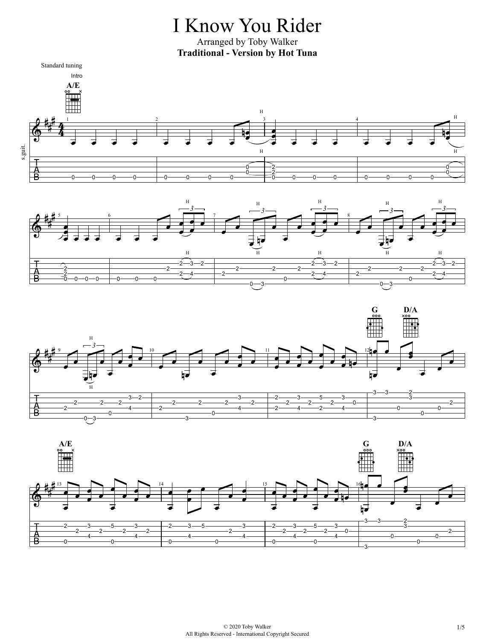## I Know You Rider

Arranged by Toby Walker **Traditional - Version by Hot Tuna**







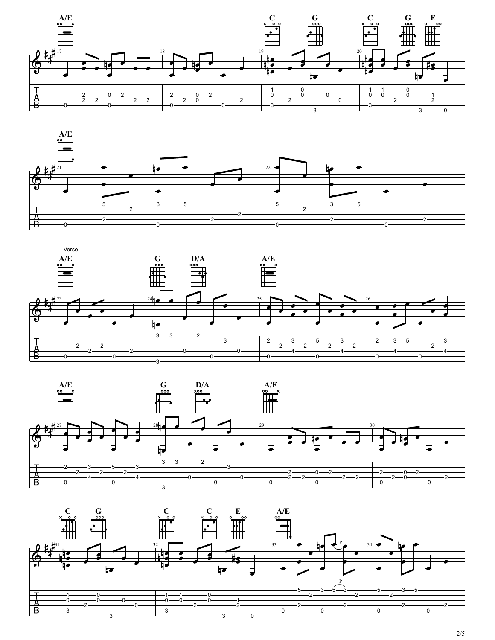







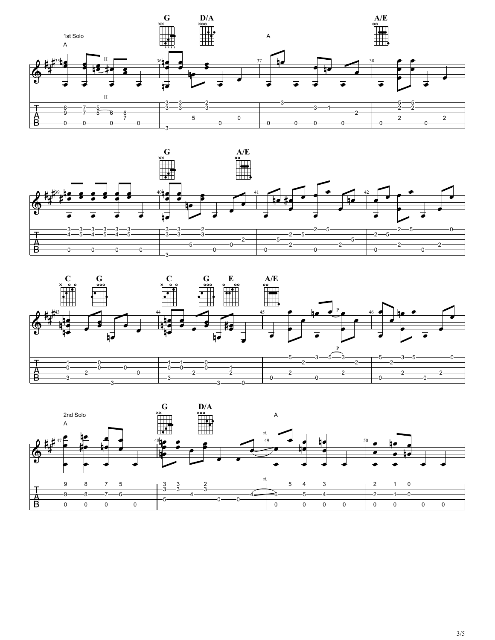





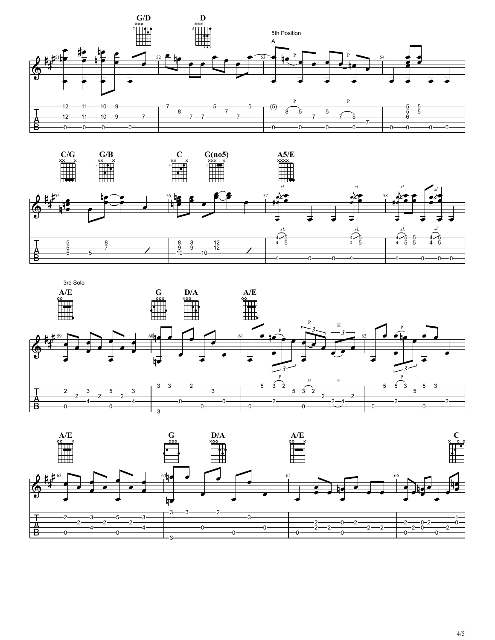







4/5